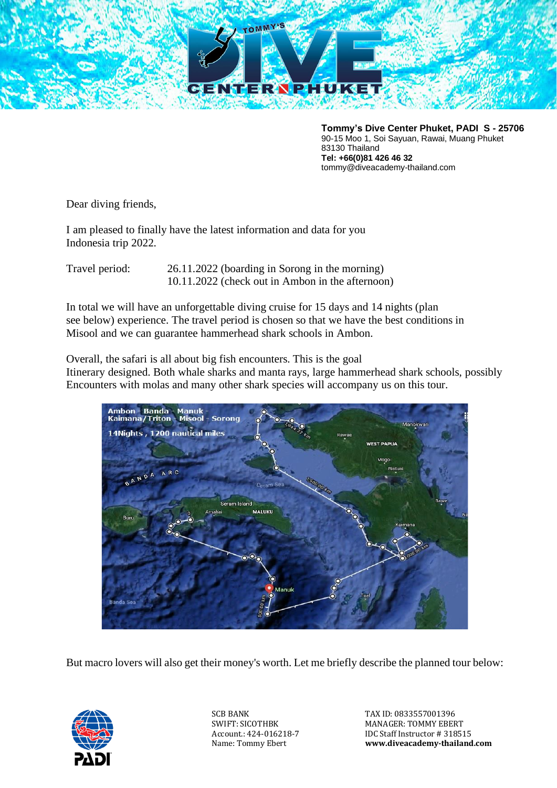

**Tommy's Dive Center Phuket, PADI S - 25706** 90-15 Moo 1, Soi Sayuan, Rawai, Muang Phuket 83130 Thailand **Tel: +66(0)81 426 46 32** tommy@diveacademy-thailand.com

Dear diving friends,

I am pleased to finally have the latest information and data for you Indonesia trip 2022.

Travel period: 26.11.2022 (boarding in Sorong in the morning) 10.11.2022 (check out in Ambon in the afternoon)

In total we will have an unforgettable diving cruise for 15 days and 14 nights (plan see below) experience. The travel period is chosen so that we have the best conditions in Misool and we can guarantee hammerhead shark schools in Ambon.

Overall, the safari is all about big fish encounters. This is the goal Itinerary designed. Both whale sharks and manta rays, large hammerhead shark schools, possibly Encounters with molas and many other shark species will accompany us on this tour.



But macro lovers will also get their money's worth. Let me briefly describe the planned tour below:



SCB BANK SWIFT: SICOTHBK Account.: 424-016218-7 Name: Tommy Ebert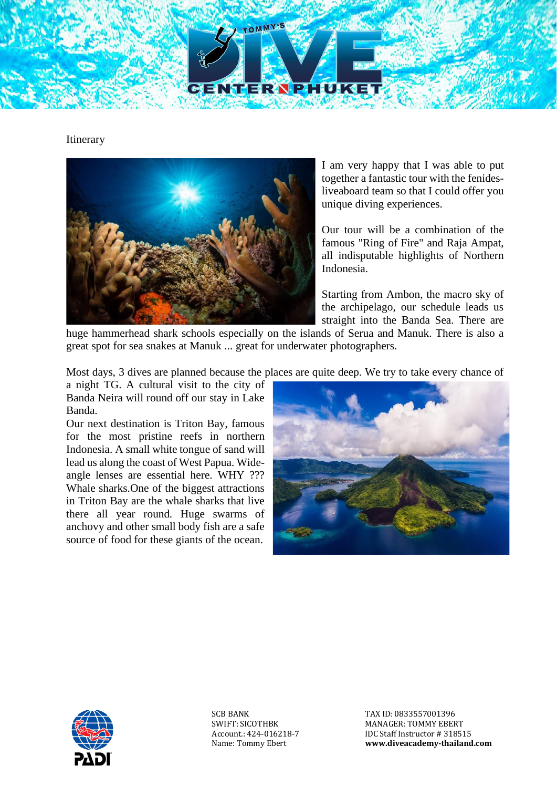

Itinerary



I am very happy that I was able to put together a fantastic tour with the fenidesliveaboard team so that I could offer you unique diving experiences.

Our tour will be a combination of the famous "Ring of Fire" and Raja Ampat, all indisputable highlights of Northern Indonesia.

Starting from Ambon, the macro sky of the archipelago, our schedule leads us straight into the Banda Sea. There are

huge hammerhead shark schools especially on the islands of Serua and Manuk. There is also a great spot for sea snakes at Manuk ... great for underwater photographers.

Most days, 3 dives are planned because the places are quite deep. We try to take every chance of

a night TG. A cultural visit to the city of Banda Neira will round off our stay in Lake Banda.

Our next destination is Triton Bay, famous for the most pristine reefs in northern Indonesia. A small white tongue of sand will lead us along the coast of West Papua. Wideangle lenses are essential here. WHY ??? Whale sharks.One of the biggest attractions in Triton Bay are the whale sharks that live there all year round. Huge swarms of anchovy and other small body fish are a safe source of food for these giants of the ocean.





SCB BANK SWIFT: SICOTHBK Account.: 424-016218-7 Name: Tommy Ebert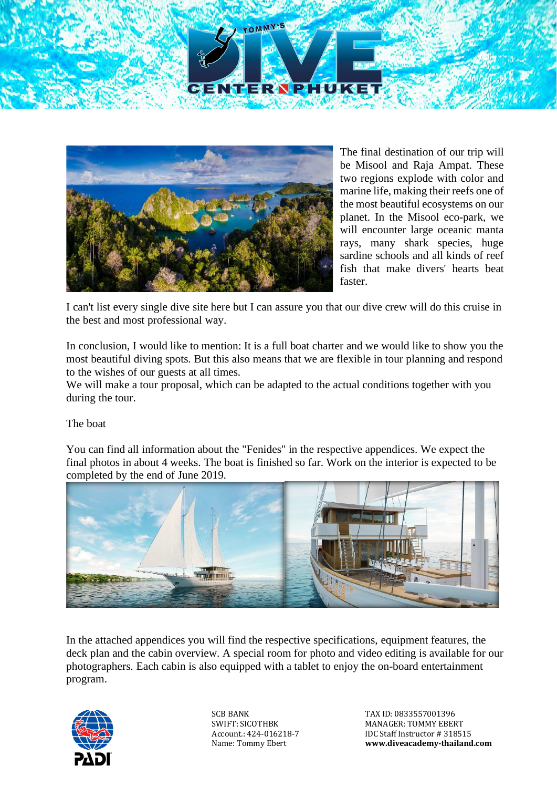



The final destination of our trip will be Misool and Raja Ampat. These two regions explode with color and marine life, making their reefs one of the most beautiful ecosystems on our planet. In the Misool eco-park, we will encounter large oceanic manta rays, many shark species, huge sardine schools and all kinds of reef fish that make divers' hearts beat faster.

I can't list every single dive site here but I can assure you that our dive crew will do this cruise in the best and most professional way.

In conclusion, I would like to mention: It is a full boat charter and we would like to show you the most beautiful diving spots. But this also means that we are flexible in tour planning and respond to the wishes of our guests at all times.

We will make a tour proposal, which can be adapted to the actual conditions together with you during the tour.

The boat

You can find all information about the "Fenides" in the respective appendices. We expect the final photos in about 4 weeks. The boat is finished so far. Work on the interior is expected to be completed by the end of June 2019.



In the attached appendices you will find the respective specifications, equipment features, the deck plan and the cabin overview. A special room for photo and video editing is available for our photographers. Each cabin is also equipped with a tablet to enjoy the on-board entertainment program.



SCR BANK SWIFT: SICOTHBK Account.: 424-016218-7 Name: Tommy Ebert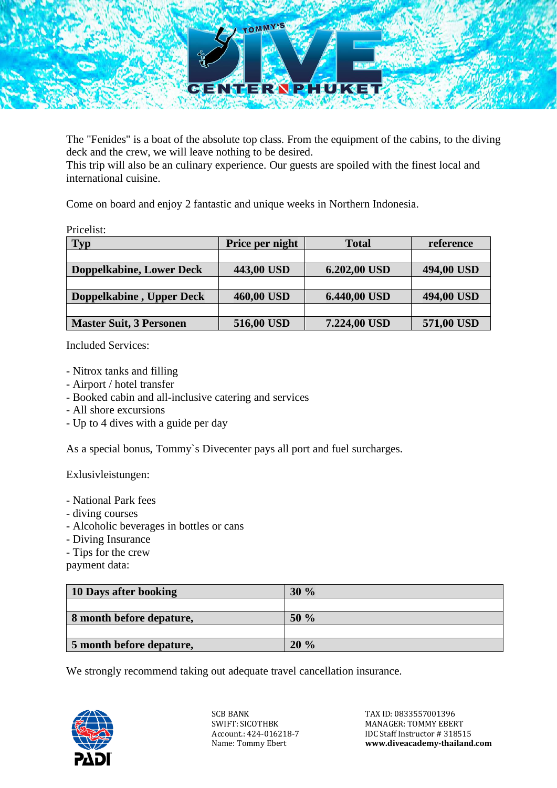

The "Fenides" is a boat of the absolute top class. From the equipment of the cabins, to the diving deck and the crew, we will leave nothing to be desired.

This trip will also be an culinary experience. Our guests are spoiled with the finest local and international cuisine.

Come on board and enjoy 2 fantastic and unique weeks in Northern Indonesia.

Pricelist:

| <b>Typ</b>                      | Price per night | <b>Total</b> | reference  |
|---------------------------------|-----------------|--------------|------------|
|                                 |                 |              |            |
| <b>Doppelkabine, Lower Deck</b> | 443,00 USD      | 6.202,00 USD | 494,00 USD |
|                                 |                 |              |            |
| Doppelkabine, Upper Deck        | 460,00 USD      | 6.440,00 USD | 494,00 USD |
|                                 |                 |              |            |
| <b>Master Suit, 3 Personen</b>  | 516,00 USD      | 7.224,00 USD | 571,00 USD |

Included Services:

- Nitrox tanks and filling
- Airport / hotel transfer
- Booked cabin and all-inclusive catering and services
- All shore excursions
- Up to 4 dives with a guide per day

As a special bonus, Tommy`s Divecenter pays all port and fuel surcharges.

Exlusivleistungen:

- National Park fees
- diving courses
- Alcoholic beverages in bottles or cans
- Diving Insurance
- Tips for the crew

payment data:

| 10 Days after booking    | 30%                 |
|--------------------------|---------------------|
|                          |                     |
| 8 month before depature, | $50\%$              |
|                          |                     |
| 5 month before depature, | $\frac{0}{0}$<br>20 |

We strongly recommend taking out adequate travel cancellation insurance.



SCB BANK SWIFT: SICOTHBK Account.: 424-016218-7 Name: Tommy Ebert